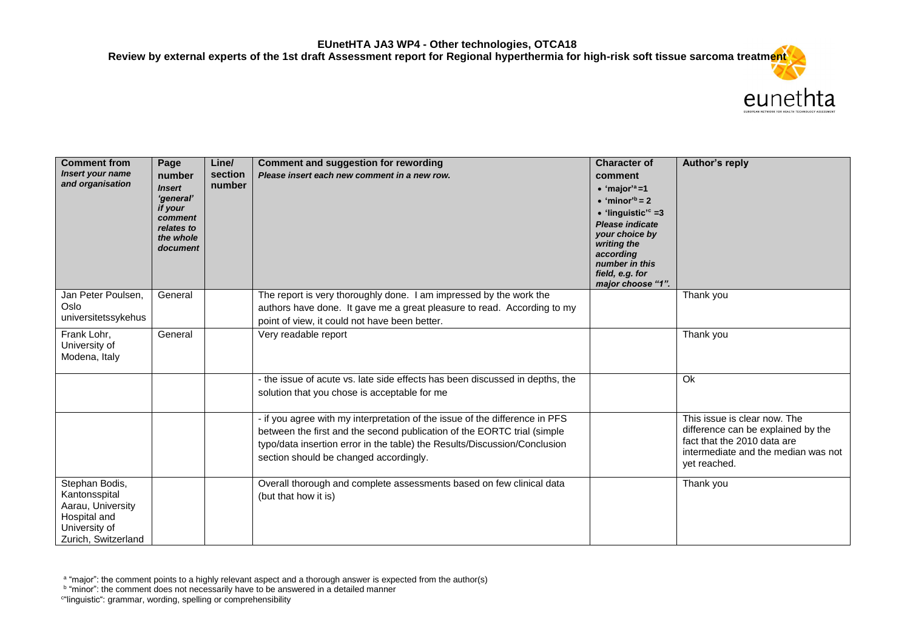

| <b>Comment from</b><br><b>Insert your name</b><br>and organisation                                           | Page<br>number<br><b>Insert</b><br>'general'<br>if your<br>comment<br>relates to<br>the whole<br>document | Line/<br>section<br>number | <b>Comment and suggestion for rewording</b><br>Please insert each new comment in a new row.                                                                                                                                                                                   | <b>Character of</b><br>comment<br>$\bullet$ 'major' <sup>a</sup> =1<br>$\bullet$ 'minor <sup>'b</sup> = 2<br>$\bullet$ 'linguistic' <sup>c</sup> =3<br><b>Please indicate</b><br>your choice by<br>writing the<br>according<br>number in this<br>field, e.g. for<br>major choose "1". | Author's reply                                                                                                                                           |
|--------------------------------------------------------------------------------------------------------------|-----------------------------------------------------------------------------------------------------------|----------------------------|-------------------------------------------------------------------------------------------------------------------------------------------------------------------------------------------------------------------------------------------------------------------------------|---------------------------------------------------------------------------------------------------------------------------------------------------------------------------------------------------------------------------------------------------------------------------------------|----------------------------------------------------------------------------------------------------------------------------------------------------------|
| Jan Peter Poulsen,<br>Oslo<br>universitetssykehus                                                            | General                                                                                                   |                            | The report is very thoroughly done. I am impressed by the work the<br>authors have done. It gave me a great pleasure to read. According to my<br>point of view, it could not have been better.                                                                                |                                                                                                                                                                                                                                                                                       | Thank you                                                                                                                                                |
| Frank Lohr,<br>University of<br>Modena, Italy                                                                | General                                                                                                   |                            | Very readable report                                                                                                                                                                                                                                                          |                                                                                                                                                                                                                                                                                       | Thank you                                                                                                                                                |
|                                                                                                              |                                                                                                           |                            | - the issue of acute vs. late side effects has been discussed in depths, the<br>solution that you chose is acceptable for me                                                                                                                                                  |                                                                                                                                                                                                                                                                                       | Ok                                                                                                                                                       |
|                                                                                                              |                                                                                                           |                            | - if you agree with my interpretation of the issue of the difference in PFS<br>between the first and the second publication of the EORTC trial (simple<br>typo/data insertion error in the table) the Results/Discussion/Conclusion<br>section should be changed accordingly. |                                                                                                                                                                                                                                                                                       | This issue is clear now. The<br>difference can be explained by the<br>fact that the 2010 data are<br>intermediate and the median was not<br>yet reached. |
| Stephan Bodis,<br>Kantonsspital<br>Aarau, University<br>Hospital and<br>University of<br>Zurich, Switzerland |                                                                                                           |                            | Overall thorough and complete assessments based on few clinical data<br>(but that how it is)                                                                                                                                                                                  |                                                                                                                                                                                                                                                                                       | Thank you                                                                                                                                                |

<sup>&</sup>lt;sup>a</sup> "major": the comment points to a highly relevant aspect and a thorough answer is expected from the author(s)<br><sup>b</sup> "minor": the comment does not necessarily have to be answered in a detailed manner

c "linguistic": grammar, wording, spelling or comprehensibility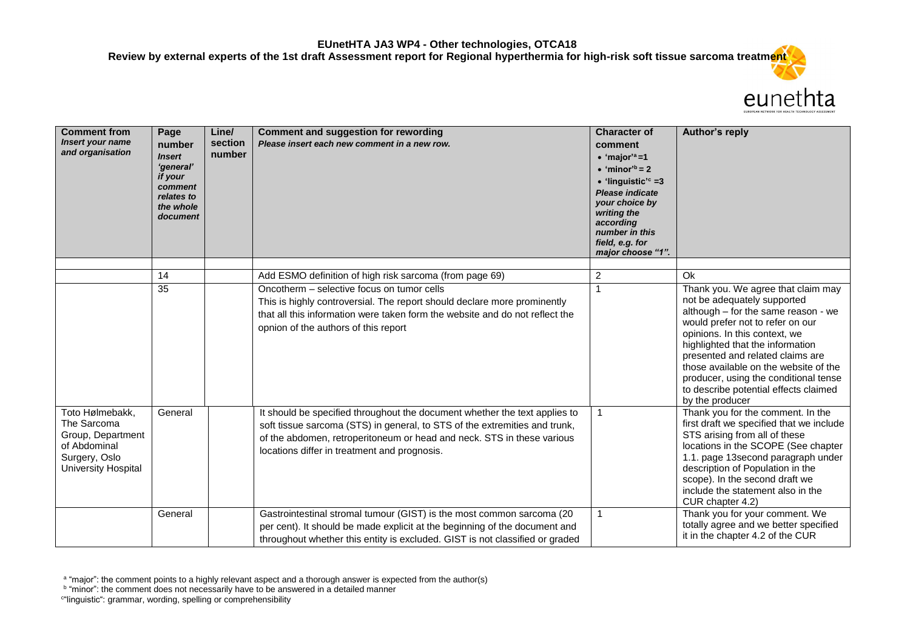

| <b>Comment from</b><br>Insert your name<br>and organisation                                                        | Page<br>number<br><b>Insert</b><br>'general'<br>if your<br>comment<br>relates to<br>the whole<br>document | Line/<br>section<br>number | <b>Comment and suggestion for rewording</b><br>Please insert each new comment in a new row.                                                                                                                                                                                        | <b>Character of</b><br>comment<br>$\bullet$ 'major' <sup>a</sup> =1<br>$\bullet$ 'minor' <sup>b</sup> = 2<br>$\bullet$ 'linguistic' <sup>c</sup> =3<br><b>Please indicate</b><br>your choice by<br>writing the<br>according<br>number in this<br>field, e.g. for<br>major choose "1". | Author's reply                                                                                                                                                                                                                                                                                                                                                                                      |
|--------------------------------------------------------------------------------------------------------------------|-----------------------------------------------------------------------------------------------------------|----------------------------|------------------------------------------------------------------------------------------------------------------------------------------------------------------------------------------------------------------------------------------------------------------------------------|---------------------------------------------------------------------------------------------------------------------------------------------------------------------------------------------------------------------------------------------------------------------------------------|-----------------------------------------------------------------------------------------------------------------------------------------------------------------------------------------------------------------------------------------------------------------------------------------------------------------------------------------------------------------------------------------------------|
|                                                                                                                    | 14                                                                                                        |                            | Add ESMO definition of high risk sarcoma (from page 69)                                                                                                                                                                                                                            | 2                                                                                                                                                                                                                                                                                     | Ok                                                                                                                                                                                                                                                                                                                                                                                                  |
|                                                                                                                    | 35                                                                                                        |                            | Oncotherm - selective focus on tumor cells<br>This is highly controversial. The report should declare more prominently<br>that all this information were taken form the website and do not reflect the<br>opnion of the authors of this report                                     | 1                                                                                                                                                                                                                                                                                     | Thank you. We agree that claim may<br>not be adequately supported<br>although – for the same reason - we<br>would prefer not to refer on our<br>opinions. In this context, we<br>highlighted that the information<br>presented and related claims are<br>those available on the website of the<br>producer, using the conditional tense<br>to describe potential effects claimed<br>by the producer |
| Toto Hølmebakk.<br>The Sarcoma<br>Group, Department<br>of Abdominal<br>Surgery, Oslo<br><b>University Hospital</b> | General                                                                                                   |                            | It should be specified throughout the document whether the text applies to<br>soft tissue sarcoma (STS) in general, to STS of the extremities and trunk,<br>of the abdomen, retroperitoneum or head and neck. STS in these various<br>locations differ in treatment and prognosis. |                                                                                                                                                                                                                                                                                       | Thank you for the comment. In the<br>first draft we specified that we include<br>STS arising from all of these<br>locations in the SCOPE (See chapter<br>1.1. page 13second paragraph under<br>description of Population in the<br>scope). In the second draft we<br>include the statement also in the<br>CUR chapter 4.2)                                                                          |
|                                                                                                                    | General                                                                                                   |                            | Gastrointestinal stromal tumour (GIST) is the most common sarcoma (20<br>per cent). It should be made explicit at the beginning of the document and<br>throughout whether this entity is excluded. GIST is not classified or graded                                                |                                                                                                                                                                                                                                                                                       | Thank you for your comment. We<br>totally agree and we better specified<br>it in the chapter 4.2 of the CUR                                                                                                                                                                                                                                                                                         |

c "linguistic": grammar, wording, spelling or comprehensibility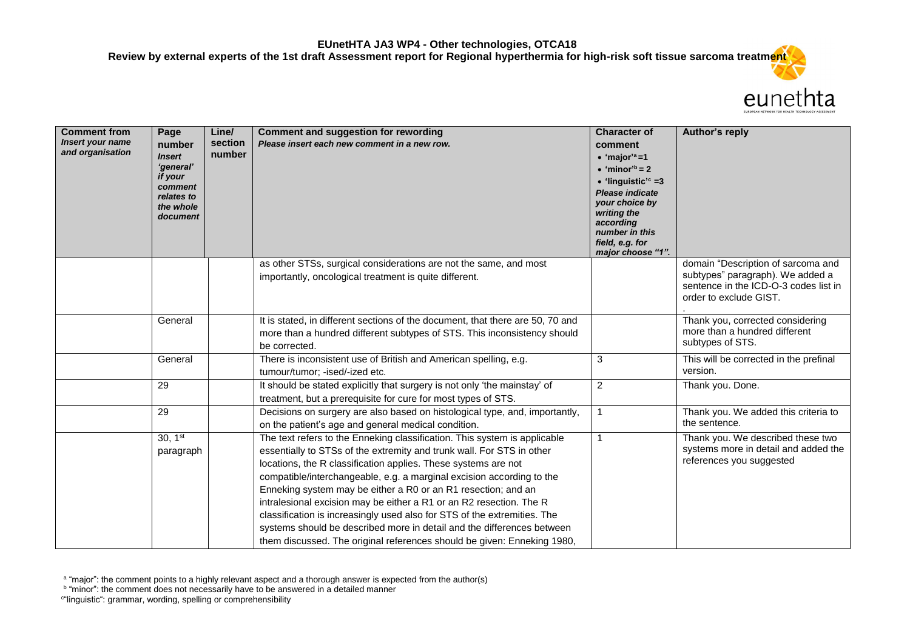

| <b>Comment from</b><br>Insert your name<br>and organisation | Page<br>number<br><b>Insert</b><br>'general'<br>if your<br>comment<br>relates to<br>the whole<br>document | Line/<br>section<br>number | <b>Comment and suggestion for rewording</b><br>Please insert each new comment in a new row.                                                                                                                                                                                                                                                                                                                                                                                                                                                                                                                                                                            | <b>Character of</b><br>comment<br>$\bullet$ 'major' <sup>a</sup> =1<br>$\bullet$ 'minor <sup>'b</sup> = 2<br>$\bullet$ 'linguistic' <sup>c</sup> =3<br><b>Please indicate</b><br>your choice by<br>writing the<br>according<br>number in this<br>field, e.g. for<br>major choose "1". | Author's reply                                                                                                                            |
|-------------------------------------------------------------|-----------------------------------------------------------------------------------------------------------|----------------------------|------------------------------------------------------------------------------------------------------------------------------------------------------------------------------------------------------------------------------------------------------------------------------------------------------------------------------------------------------------------------------------------------------------------------------------------------------------------------------------------------------------------------------------------------------------------------------------------------------------------------------------------------------------------------|---------------------------------------------------------------------------------------------------------------------------------------------------------------------------------------------------------------------------------------------------------------------------------------|-------------------------------------------------------------------------------------------------------------------------------------------|
|                                                             |                                                                                                           |                            | as other STSs, surgical considerations are not the same, and most<br>importantly, oncological treatment is quite different.                                                                                                                                                                                                                                                                                                                                                                                                                                                                                                                                            |                                                                                                                                                                                                                                                                                       | domain "Description of sarcoma and<br>subtypes" paragraph). We added a<br>sentence in the ICD-O-3 codes list in<br>order to exclude GIST. |
|                                                             | General                                                                                                   |                            | It is stated, in different sections of the document, that there are 50, 70 and<br>more than a hundred different subtypes of STS. This inconsistency should<br>be corrected.                                                                                                                                                                                                                                                                                                                                                                                                                                                                                            |                                                                                                                                                                                                                                                                                       | Thank you, corrected considering<br>more than a hundred different<br>subtypes of STS.                                                     |
|                                                             | General                                                                                                   |                            | There is inconsistent use of British and American spelling, e.g.<br>tumour/tumor; -ised/-ized etc.                                                                                                                                                                                                                                                                                                                                                                                                                                                                                                                                                                     | 3                                                                                                                                                                                                                                                                                     | This will be corrected in the prefinal<br>version.                                                                                        |
|                                                             | 29                                                                                                        |                            | It should be stated explicitly that surgery is not only 'the mainstay' of<br>treatment, but a prerequisite for cure for most types of STS.                                                                                                                                                                                                                                                                                                                                                                                                                                                                                                                             | $\overline{\mathbf{c}}$                                                                                                                                                                                                                                                               | Thank you. Done.                                                                                                                          |
|                                                             | 29                                                                                                        |                            | Decisions on surgery are also based on histological type, and, importantly,<br>on the patient's age and general medical condition.                                                                                                                                                                                                                                                                                                                                                                                                                                                                                                                                     | $\mathbf{1}$                                                                                                                                                                                                                                                                          | Thank you. We added this criteria to<br>the sentence.                                                                                     |
|                                                             | 30, 1 <sup>st</sup><br>paragraph                                                                          |                            | The text refers to the Enneking classification. This system is applicable<br>essentially to STSs of the extremity and trunk wall. For STS in other<br>locations, the R classification applies. These systems are not<br>compatible/interchangeable, e.g. a marginal excision according to the<br>Enneking system may be either a R0 or an R1 resection; and an<br>intralesional excision may be either a R1 or an R2 resection. The R<br>classification is increasingly used also for STS of the extremities. The<br>systems should be described more in detail and the differences between<br>them discussed. The original references should be given: Enneking 1980, | 1                                                                                                                                                                                                                                                                                     | Thank you. We described these two<br>systems more in detail and added the<br>references you suggested                                     |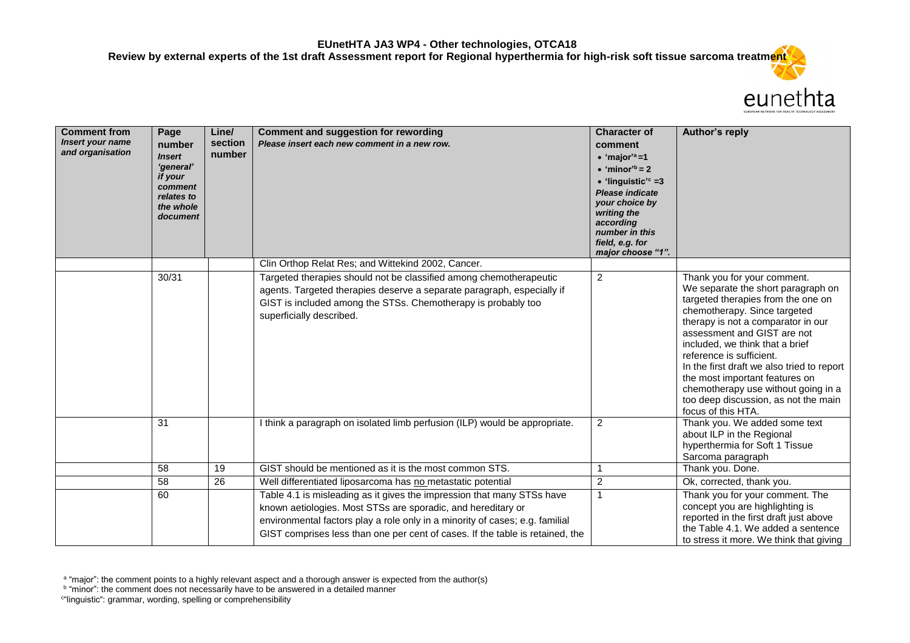

| <b>Comment from</b><br><b>Insert your name</b><br>and organisation | Page<br>number<br><b>Insert</b><br>'general'<br>if your<br>comment<br>relates to<br>the whole<br>document | Line/<br>section<br>number | <b>Comment and suggestion for rewording</b><br>Please insert each new comment in a new row.                                                                                                                                                                                                             | <b>Character of</b><br>comment<br>$\bullet$ 'major' <sup>a</sup> =1<br>$\bullet$ 'minor' <sup>b</sup> = 2<br>$\bullet$ 'linguistic' <sup>c</sup> =3<br><b>Please indicate</b><br>your choice by<br>writing the<br>according<br>number in this<br>field, e.g. for<br>major choose "1". | <b>Author's reply</b>                                                                                                                                                                                                                                                                                                                                                                                                                                            |
|--------------------------------------------------------------------|-----------------------------------------------------------------------------------------------------------|----------------------------|---------------------------------------------------------------------------------------------------------------------------------------------------------------------------------------------------------------------------------------------------------------------------------------------------------|---------------------------------------------------------------------------------------------------------------------------------------------------------------------------------------------------------------------------------------------------------------------------------------|------------------------------------------------------------------------------------------------------------------------------------------------------------------------------------------------------------------------------------------------------------------------------------------------------------------------------------------------------------------------------------------------------------------------------------------------------------------|
|                                                                    | 30/31                                                                                                     |                            | Clin Orthop Relat Res; and Wittekind 2002, Cancer.<br>Targeted therapies should not be classified among chemotherapeutic<br>agents. Targeted therapies deserve a separate paragraph, especially if<br>GIST is included among the STSs. Chemotherapy is probably too<br>superficially described.         | $\overline{2}$                                                                                                                                                                                                                                                                        | Thank you for your comment.<br>We separate the short paragraph on<br>targeted therapies from the one on<br>chemotherapy. Since targeted<br>therapy is not a comparator in our<br>assessment and GIST are not<br>included, we think that a brief<br>reference is sufficient.<br>In the first draft we also tried to report<br>the most important features on<br>chemotherapy use without going in a<br>too deep discussion, as not the main<br>focus of this HTA. |
|                                                                    | 31                                                                                                        |                            | I think a paragraph on isolated limb perfusion (ILP) would be appropriate.                                                                                                                                                                                                                              | 2                                                                                                                                                                                                                                                                                     | Thank you. We added some text<br>about ILP in the Regional<br>hyperthermia for Soft 1 Tissue<br>Sarcoma paragraph                                                                                                                                                                                                                                                                                                                                                |
|                                                                    | 58                                                                                                        | 19                         | GIST should be mentioned as it is the most common STS.                                                                                                                                                                                                                                                  |                                                                                                                                                                                                                                                                                       | Thank you. Done.                                                                                                                                                                                                                                                                                                                                                                                                                                                 |
|                                                                    | 58                                                                                                        | 26                         | Well differentiated liposarcoma has no metastatic potential                                                                                                                                                                                                                                             | 2                                                                                                                                                                                                                                                                                     | Ok, corrected, thank you.                                                                                                                                                                                                                                                                                                                                                                                                                                        |
|                                                                    | 60                                                                                                        |                            | Table 4.1 is misleading as it gives the impression that many STSs have<br>known aetiologies. Most STSs are sporadic, and hereditary or<br>environmental factors play a role only in a minority of cases; e.g. familial<br>GIST comprises less than one per cent of cases. If the table is retained, the | 1                                                                                                                                                                                                                                                                                     | Thank you for your comment. The<br>concept you are highlighting is<br>reported in the first draft just above<br>the Table 4.1. We added a sentence<br>to stress it more. We think that giving                                                                                                                                                                                                                                                                    |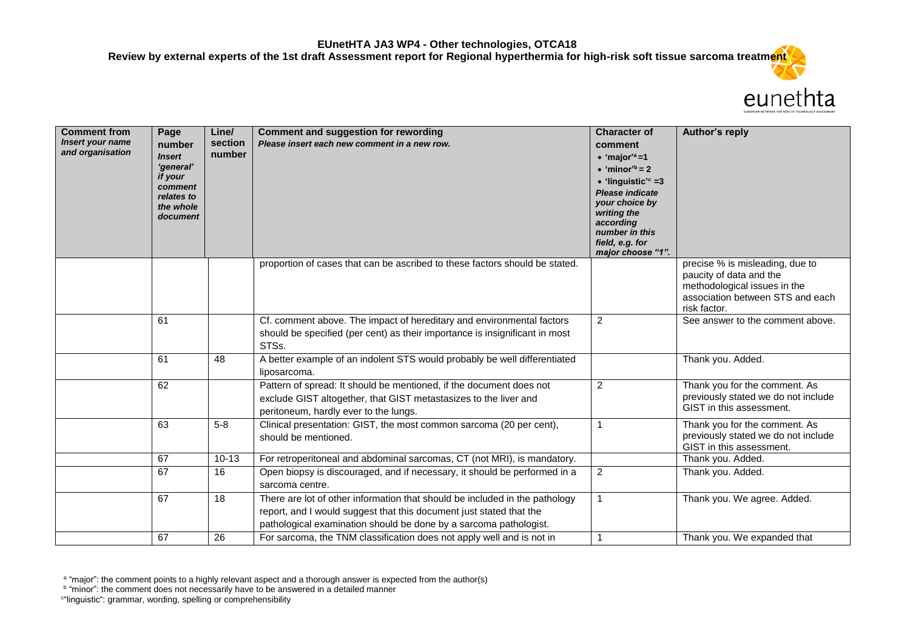

| <b>Comment from</b><br>Insert your name<br>and organisation | Page<br>number<br><b>Insert</b><br>'general'<br>if your<br>comment<br>relates to<br>the whole<br>document | Line/<br>section<br>number | <b>Comment and suggestion for rewording</b><br>Please insert each new comment in a new row.                                                                                                                             | <b>Character of</b><br>comment<br>$\bullet$ 'major' <sup>a</sup> =1<br>$\bullet$ 'minor <sup>'b</sup> = 2<br>$\bullet$ 'linguistic' <sup>c</sup> =3<br>Please indicate<br>your choice by<br>writing the<br>according<br>number in this<br>field, e.g. for<br>major choose "1". | Author's reply                                                                                                                                 |
|-------------------------------------------------------------|-----------------------------------------------------------------------------------------------------------|----------------------------|-------------------------------------------------------------------------------------------------------------------------------------------------------------------------------------------------------------------------|--------------------------------------------------------------------------------------------------------------------------------------------------------------------------------------------------------------------------------------------------------------------------------|------------------------------------------------------------------------------------------------------------------------------------------------|
|                                                             |                                                                                                           |                            | proportion of cases that can be ascribed to these factors should be stated.                                                                                                                                             |                                                                                                                                                                                                                                                                                | precise % is misleading, due to<br>paucity of data and the<br>methodological issues in the<br>association between STS and each<br>risk factor. |
|                                                             | 61                                                                                                        |                            | Cf. comment above. The impact of hereditary and environmental factors<br>should be specified (per cent) as their importance is insignificant in most<br>STSs.                                                           | $\overline{2}$                                                                                                                                                                                                                                                                 | See answer to the comment above.                                                                                                               |
|                                                             | 61                                                                                                        | 48                         | A better example of an indolent STS would probably be well differentiated<br>liposarcoma.                                                                                                                               |                                                                                                                                                                                                                                                                                | Thank you. Added.                                                                                                                              |
|                                                             | 62                                                                                                        |                            | Pattern of spread: It should be mentioned, if the document does not<br>exclude GIST altogether, that GIST metastasizes to the liver and<br>peritoneum, hardly ever to the lungs.                                        | $\overline{2}$                                                                                                                                                                                                                                                                 | Thank you for the comment. As<br>previously stated we do not include<br>GIST in this assessment.                                               |
|                                                             | 63                                                                                                        | $5-8$                      | Clinical presentation: GIST, the most common sarcoma (20 per cent),<br>should be mentioned.                                                                                                                             | $\overline{1}$                                                                                                                                                                                                                                                                 | Thank you for the comment. As<br>previously stated we do not include<br>GIST in this assessment.                                               |
|                                                             | 67                                                                                                        | $10 - 13$                  | For retroperitoneal and abdominal sarcomas, CT (not MRI), is mandatory.                                                                                                                                                 |                                                                                                                                                                                                                                                                                | Thank you. Added.                                                                                                                              |
|                                                             | 67                                                                                                        | 16                         | Open biopsy is discouraged, and if necessary, it should be performed in a<br>sarcoma centre.                                                                                                                            | $\overline{2}$                                                                                                                                                                                                                                                                 | Thank you. Added.                                                                                                                              |
|                                                             | 67                                                                                                        | 18                         | There are lot of other information that should be included in the pathology<br>report, and I would suggest that this document just stated that the<br>pathological examination should be done by a sarcoma pathologist. |                                                                                                                                                                                                                                                                                | Thank you. We agree. Added.                                                                                                                    |
|                                                             | 67                                                                                                        | 26                         | For sarcoma, the TNM classification does not apply well and is not in                                                                                                                                                   | 1                                                                                                                                                                                                                                                                              | Thank you. We expanded that                                                                                                                    |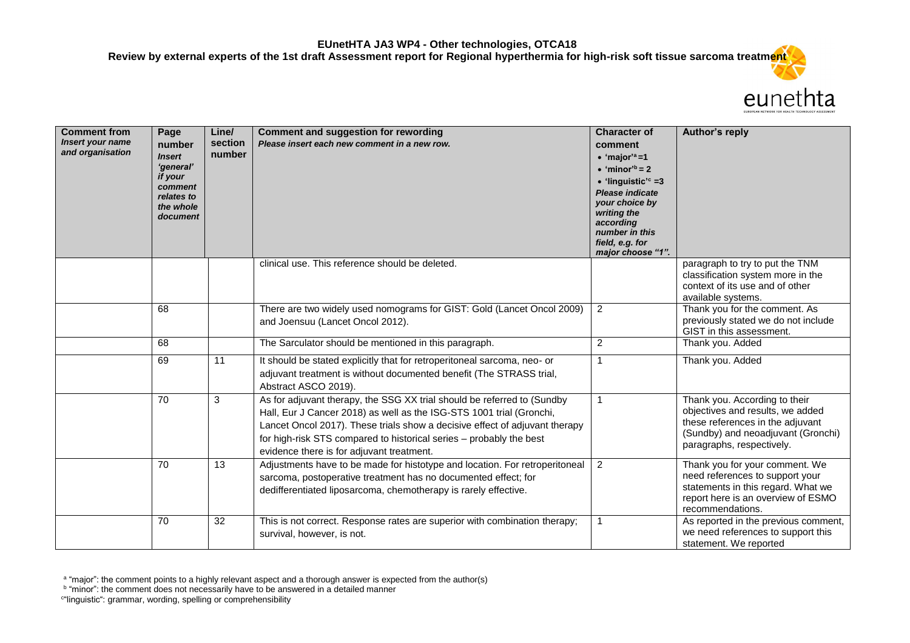

| <b>Comment from</b><br><b>Insert your name</b><br>and organisation | Page<br>number<br><b>Insert</b><br>'general'<br>if your<br>comment<br>relates to<br>the whole<br>document | Line/<br>section<br>number | <b>Comment and suggestion for rewording</b><br>Please insert each new comment in a new row.                                                                                                                                                                                                                                                        | <b>Character of</b><br>comment<br>$\bullet$ 'major' <sup>a</sup> =1<br>$\bullet$ 'minor <sup>'b</sup> = 2<br>$\bullet$ 'linguistic' <sup>c</sup> =3<br>Please indicate<br>your choice by<br>writing the<br>according<br>number in this<br>field, e.g. for<br>major choose "1". | Author's reply                                                                                                                                                           |
|--------------------------------------------------------------------|-----------------------------------------------------------------------------------------------------------|----------------------------|----------------------------------------------------------------------------------------------------------------------------------------------------------------------------------------------------------------------------------------------------------------------------------------------------------------------------------------------------|--------------------------------------------------------------------------------------------------------------------------------------------------------------------------------------------------------------------------------------------------------------------------------|--------------------------------------------------------------------------------------------------------------------------------------------------------------------------|
|                                                                    |                                                                                                           |                            | clinical use. This reference should be deleted.                                                                                                                                                                                                                                                                                                    |                                                                                                                                                                                                                                                                                | paragraph to try to put the TNM<br>classification system more in the<br>context of its use and of other<br>available systems.                                            |
|                                                                    | 68                                                                                                        |                            | There are two widely used nomograms for GIST: Gold (Lancet Oncol 2009)<br>and Joensuu (Lancet Oncol 2012).                                                                                                                                                                                                                                         | $\overline{2}$                                                                                                                                                                                                                                                                 | Thank you for the comment. As<br>previously stated we do not include<br>GIST in this assessment.                                                                         |
|                                                                    | 68                                                                                                        |                            | The Sarculator should be mentioned in this paragraph.                                                                                                                                                                                                                                                                                              | 2                                                                                                                                                                                                                                                                              | Thank you. Added                                                                                                                                                         |
|                                                                    | 69                                                                                                        | 11                         | It should be stated explicitly that for retroperitoneal sarcoma, neo- or<br>adjuvant treatment is without documented benefit (The STRASS trial,<br>Abstract ASCO 2019).                                                                                                                                                                            | 1                                                                                                                                                                                                                                                                              | Thank you. Added                                                                                                                                                         |
|                                                                    | 70                                                                                                        | 3                          | As for adjuvant therapy, the SSG XX trial should be referred to (Sundby<br>Hall, Eur J Cancer 2018) as well as the ISG-STS 1001 trial (Gronchi,<br>Lancet Oncol 2017). These trials show a decisive effect of adjuvant therapy<br>for high-risk STS compared to historical series - probably the best<br>evidence there is for adjuvant treatment. | 1                                                                                                                                                                                                                                                                              | Thank you. According to their<br>objectives and results, we added<br>these references in the adjuvant<br>(Sundby) and neoadjuvant (Gronchi)<br>paragraphs, respectively. |
|                                                                    | 70                                                                                                        | 13                         | Adjustments have to be made for histotype and location. For retroperitoneal<br>sarcoma, postoperative treatment has no documented effect; for<br>dedifferentiated liposarcoma, chemotherapy is rarely effective.                                                                                                                                   | 2                                                                                                                                                                                                                                                                              | Thank you for your comment. We<br>need references to support your<br>statements in this regard. What we<br>report here is an overview of ESMO<br>recommendations.        |
|                                                                    | 70                                                                                                        | 32                         | This is not correct. Response rates are superior with combination therapy;<br>survival, however, is not.                                                                                                                                                                                                                                           | 1                                                                                                                                                                                                                                                                              | As reported in the previous comment,<br>we need references to support this<br>statement. We reported                                                                     |

<sup>&</sup>lt;sup>a</sup> "major": the comment points to a highly relevant aspect and a thorough answer is expected from the author(s)<br><sup>b</sup> "minor": the comment does not necessarily have to be answered in a detailed manner

c "linguistic": grammar, wording, spelling or comprehensibility